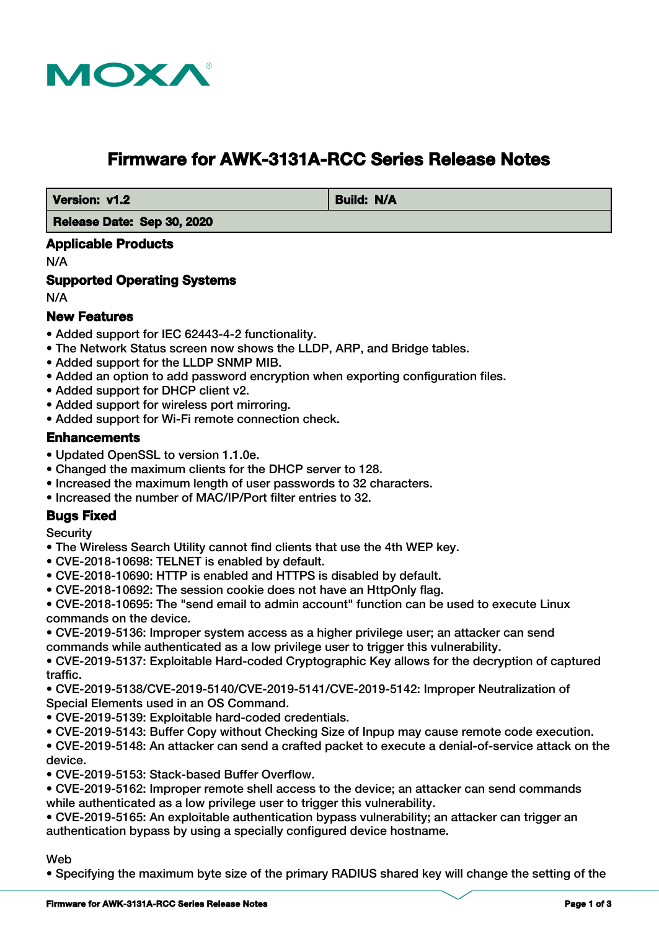

# **Firmware for AWK-3131A-RCC Series Release Notes**

**Version: v1.2 Build: N/A** 

 **Release Date: Sep 30, 2020**

#### **Applicable Products**

N/A

#### **Supported Operating Systems**

N/A

#### **New Features**

- Added support for IEC 62443-4-2 functionality.
- The Network Status screen now shows the LLDP, ARP, and Bridge tables.
- Added support for the LLDP SNMP MIB.
- Added an option to add password encryption when exporting configuration files.
- Added support for DHCP client v2.
- Added support for wireless port mirroring.
- Added support for Wi-Fi remote connection check.

#### **Enhancements**

- Updated OpenSSL to version 1.1.0e.
- Changed the maximum clients for the DHCP server to 128.
- Increased the maximum length of user passwords to 32 characters.
- Increased the number of MAC/IP/Port filter entries to 32.

#### **Bugs Fixed**

**Security** 

- The Wireless Search Utility cannot find clients that use the 4th WEP key.
- CVE-2018-10698: TELNET is enabled by default.
- CVE-2018-10690: HTTP is enabled and HTTPS is disabled by default.
- CVE-2018-10692: The session cookie does not have an HttpOnly flag.

• CVE-2018-10695: The "send email to admin account" function can be used to execute Linux commands on the device.

• CVE-2019-5136: Improper system access as a higher privilege user; an attacker can send commands while authenticated as a low privilege user to trigger this vulnerability.

• CVE-2019-5137: Exploitable Hard-coded Cryptographic Key allows for the decryption of captured traffic.

• CVE-2019-5138/CVE-2019-5140/CVE-2019-5141/CVE-2019-5142: Improper Neutralization of Special Elements used in an OS Command.

- CVE-2019-5139: Exploitable hard-coded credentials.
- CVE-2019-5143: Buffer Copy without Checking Size of Inpup may cause remote code execution.
- CVE-2019-5148: An attacker can send a crafted packet to execute a denial-of-service attack on the device.
- CVE-2019-5153: Stack-based Buffer Overflow.

• CVE-2019-5162: Improper remote shell access to the device; an attacker can send commands while authenticated as a low privilege user to trigger this vulnerability.

• CVE-2019-5165: An exploitable authentication bypass vulnerability; an attacker can trigger an authentication bypass by using a specially configured device hostname.

#### Web

• Specifying the maximum byte size of the primary RADIUS shared key will change the setting of the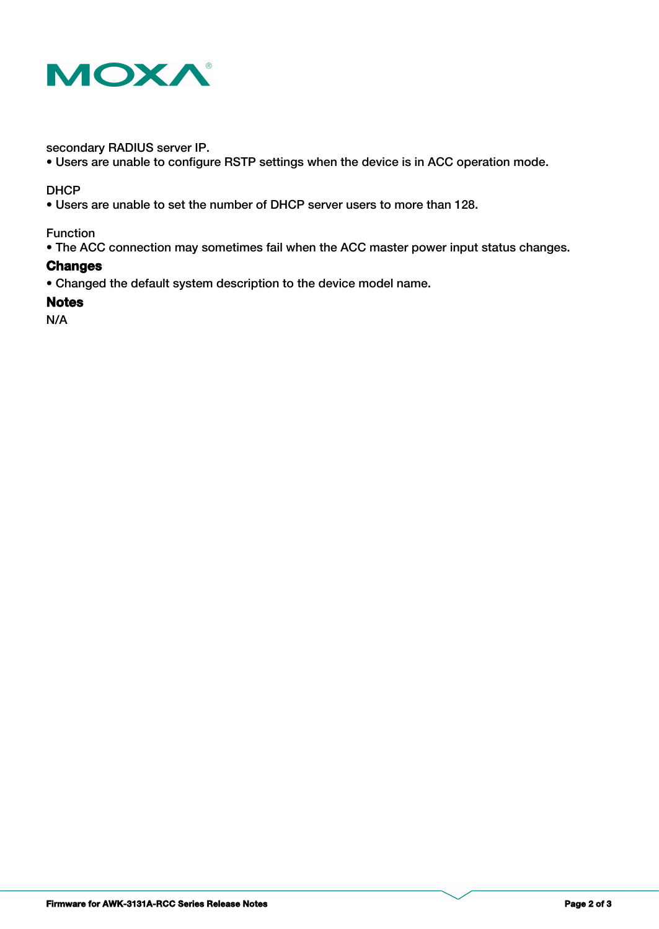

secondary RADIUS server IP.

• Users are unable to configure RSTP settings when the device is in ACC operation mode.

#### **DHCP**

• Users are unable to set the number of DHCP server users to more than 128.

Function

• The ACC connection may sometimes fail when the ACC master power input status changes.

#### **Changes**

• Changed the default system description to the device model name.

#### **Notes**

N/A